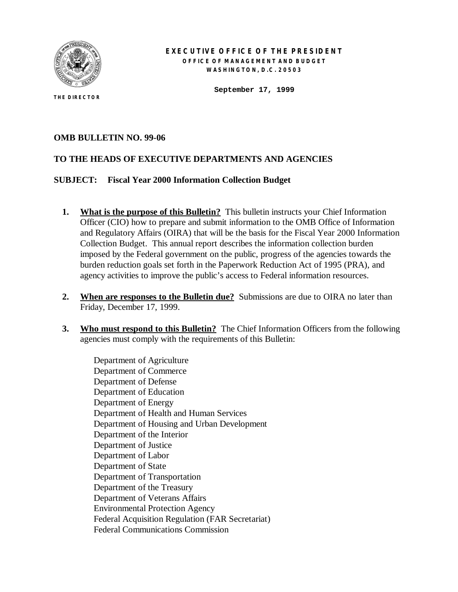

**THE DIRECTOR**

### **EXECUTIVE OFFICE OF THE PRESIDENT OFFICE OF MANAGEMENT AND BUDGET WASHINGTON, D.C. 20503**

**September 17, 1999**

## **OMB BULLETIN NO. 99-06**

## **TO THE HEADS OF EXECUTIVE DEPARTMENTS AND AGENCIES**

### **SUBJECT: Fiscal Year 2000 Information Collection Budget**

- **1.** What is the purpose of this Bulletin? This bulletin instructs your Chief Information Officer (CIO) how to prepare and submit information to the OMB Office of Information and Regulatory Affairs (OIRA) that will be the basis for the Fiscal Year 2000 Information Collection Budget. This annual report describes the information collection burden imposed by the Federal government on the public, progress of the agencies towards the burden reduction goals set forth in the Paperwork Reduction Act of 1995 (PRA), and agency activities to improve the public's access to Federal information resources.
- **2. When are responses to the Bulletin due?** Submissions are due to OIRA no later than Friday, December 17, 1999.
- **3. Who must respond to this Bulletin?** The Chief Information Officers from the following agencies must comply with the requirements of this Bulletin:

Department of Agriculture Department of Commerce Department of Defense Department of Education Department of Energy Department of Health and Human Services Department of Housing and Urban Development Department of the Interior Department of Justice Department of Labor Department of State Department of Transportation Department of the Treasury Department of Veterans Affairs Environmental Protection Agency Federal Acquisition Regulation (FAR Secretariat) Federal Communications Commission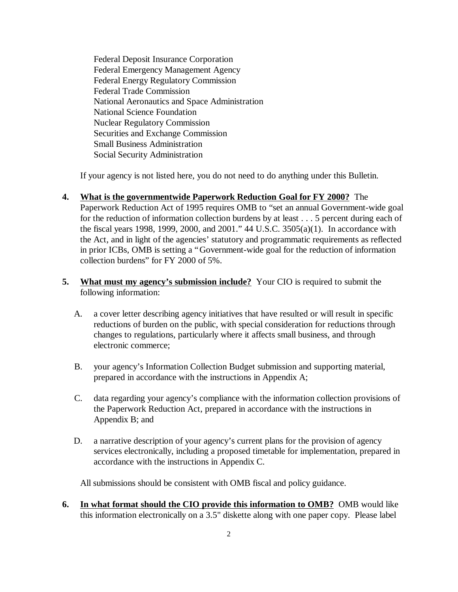Federal Deposit Insurance Corporation Federal Emergency Management Agency Federal Energy Regulatory Commission Federal Trade Commission National Aeronautics and Space Administration National Science Foundation Nuclear Regulatory Commission Securities and Exchange Commission Small Business Administration Social Security Administration

If your agency is not listed here, you do not need to do anything under this Bulletin.

- **4. What is the governmentwide Paperwork Reduction Goal for FY 2000?** The Paperwork Reduction Act of 1995 requires OMB to "set an annual Government-wide goal for the reduction of information collection burdens by at least . . . 5 percent during each of the fiscal years 1998, 1999, 2000, and 2001." 44 U.S.C. 3505(a)(1). In accordance with the Act, and in light of the agencies' statutory and programmatic requirements as reflected in prior ICBs, OMB is setting a "Government-wide goal for the reduction of information collection burdens" for FY 2000 of 5%.
- **5. What must my agency's submission include?** Your CIO is required to submit the following information:
	- A. a cover letter describing agency initiatives that have resulted or will result in specific reductions of burden on the public, with special consideration for reductions through changes to regulations, particularly where it affects small business, and through electronic commerce;
	- B. your agency's Information Collection Budget submission and supporting material, prepared in accordance with the instructions in Appendix A;
	- C. data regarding your agency's compliance with the information collection provisions of the Paperwork Reduction Act, prepared in accordance with the instructions in Appendix B; and
	- D. a narrative description of your agency's current plans for the provision of agency services electronically, including a proposed timetable for implementation, prepared in accordance with the instructions in Appendix C.

All submissions should be consistent with OMB fiscal and policy guidance.

**6. In what format should the CIO provide this information to OMB?** OMB would like this information electronically on a 3.5" diskette along with one paper copy. Please label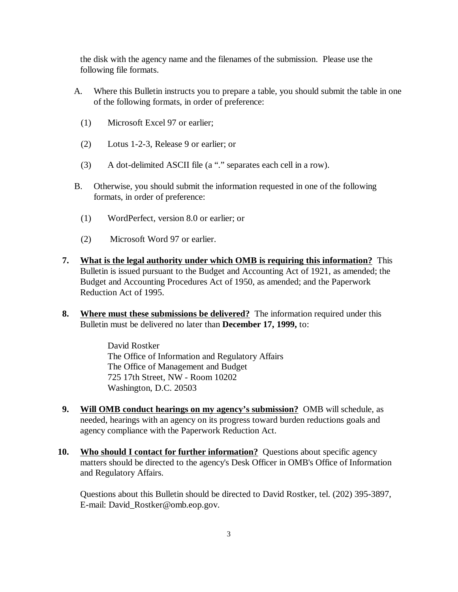the disk with the agency name and the filenames of the submission. Please use the following file formats.

- A. Where this Bulletin instructs you to prepare a table, you should submit the table in one of the following formats, in order of preference:
	- (1) Microsoft Excel 97 or earlier;
	- (2) Lotus 1-2-3, Release 9 or earlier; or
	- (3) A dot-delimited ASCII file (a "." separates each cell in a row).
- B. Otherwise, you should submit the information requested in one of the following formats, in order of preference:
	- (1) WordPerfect, version 8.0 or earlier; or
	- (2) Microsoft Word 97 or earlier.
- **7. What is the legal authority under which OMB is requiring this information?** This Bulletin is issued pursuant to the Budget and Accounting Act of 1921, as amended; the Budget and Accounting Procedures Act of 1950, as amended; and the Paperwork Reduction Act of 1995.
- **8. Where must these submissions be delivered?** The information required under this Bulletin must be delivered no later than **December 17, 1999,** to:

David Rostker The Office of Information and Regulatory Affairs The Office of Management and Budget 725 17th Street, NW - Room 10202 Washington, D.C. 20503

- **9. Will OMB conduct hearings on my agency's submission?** OMB will schedule, as needed, hearings with an agency on its progress toward burden reductions goals and agency compliance with the Paperwork Reduction Act.
- **10. Who should I contact for further information?** Questions about specific agency matters should be directed to the agency's Desk Officer in OMB's Office of Information and Regulatory Affairs.

Questions about this Bulletin should be directed to David Rostker, tel. (202) 395-3897, E-mail: David\_Rostker@omb.eop.gov.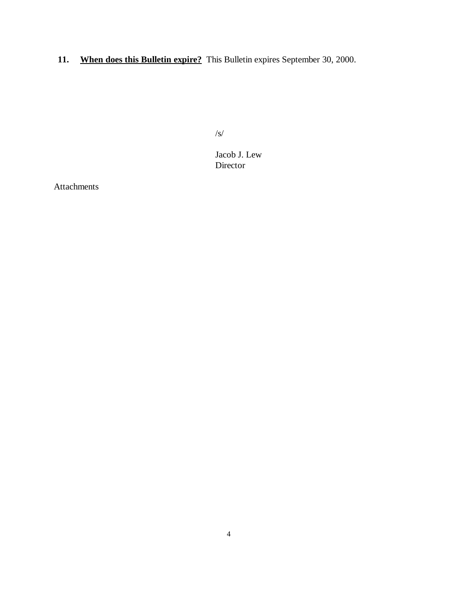**11. When does this Bulletin expire?** This Bulletin expires September 30, 2000.

/s/

Jacob J. Lew Director

Attachments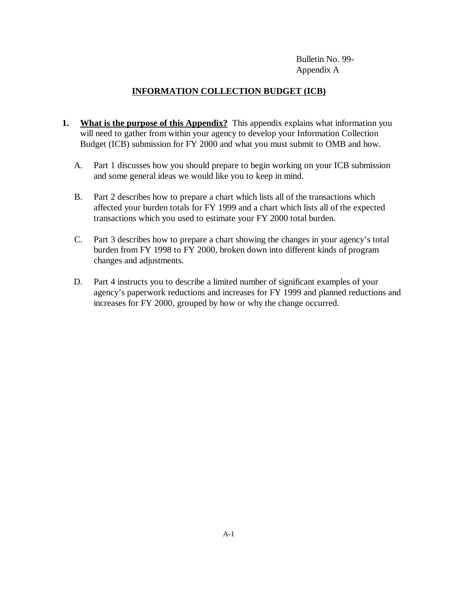Bulletin No. 99- Appendix A

# **INFORMATION COLLECTION BUDGET (ICB)**

- **1.** What is the purpose of this Appendix? This appendix explains what information you will need to gather from within your agency to develop your Information Collection Budget (ICB) submission for FY 2000 and what you must submit to OMB and how.
	- A. Part 1 discusses how you should prepare to begin working on your ICB submission and some general ideas we would like you to keep in mind.
	- B. Part 2 describes how to prepare a chart which lists all of the transactions which affected your burden totals for FY 1999 and a chart which lists all of the expected transactions which you used to estimate your FY 2000 total burden.
	- C. Part 3 describes how to prepare a chart showing the changes in your agency's total burden from FY 1998 to FY 2000, broken down into different kinds of program changes and adjustments.
	- D. Part 4 instructs you to describe a limited number of significant examples of your agency's paperwork reductions and increases for FY 1999 and planned reductions and increases for FY 2000, grouped by how or why the change occurred.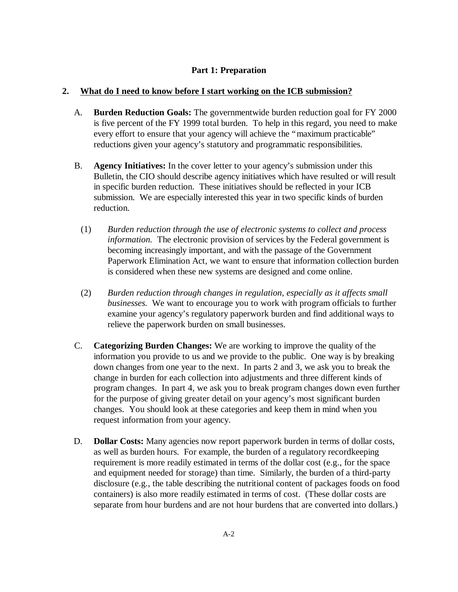# **Part 1: Preparation**

## **2. What do I need to know before I start working on the ICB submission?**

- A. **Burden Reduction Goals:** The governmentwide burden reduction goal for FY 2000 is five percent of the FY 1999 total burden. To help in this regard, you need to make every effort to ensure that your agency will achieve the "maximum practicable" reductions given your agency's statutory and programmatic responsibilities.
- B. **Agency Initiatives:** In the cover letter to your agency's submission under this Bulletin, the CIO should describe agency initiatives which have resulted or will result in specific burden reduction. These initiatives should be reflected in your ICB submission. We are especially interested this year in two specific kinds of burden reduction.
	- (1) *Burden reduction through the use of electronic systems to collect and process information.* The electronic provision of services by the Federal government is becoming increasingly important, and with the passage of the Government Paperwork Elimination Act, we want to ensure that information collection burden is considered when these new systems are designed and come online.
	- (2) *Burden reduction through changes in regulation, especially as it affects small businesses.* We want to encourage you to work with program officials to further examine your agency's regulatory paperwork burden and find additional ways to relieve the paperwork burden on small businesses.
- C. **Categorizing Burden Changes:** We are working to improve the quality of the information you provide to us and we provide to the public. One way is by breaking down changes from one year to the next. In parts 2 and 3, we ask you to break the change in burden for each collection into adjustments and three different kinds of program changes. In part 4, we ask you to break program changes down even further for the purpose of giving greater detail on your agency's most significant burden changes. You should look at these categories and keep them in mind when you request information from your agency.
- D. **Dollar Costs:** Many agencies now report paperwork burden in terms of dollar costs, as well as burden hours. For example, the burden of a regulatory recordkeeping requirement is more readily estimated in terms of the dollar cost (e.g., for the space and equipment needed for storage) than time. Similarly, the burden of a third-party disclosure (e.g., the table describing the nutritional content of packages foods on food containers) is also more readily estimated in terms of cost. (These dollar costs are separate from hour burdens and are not hour burdens that are converted into dollars.)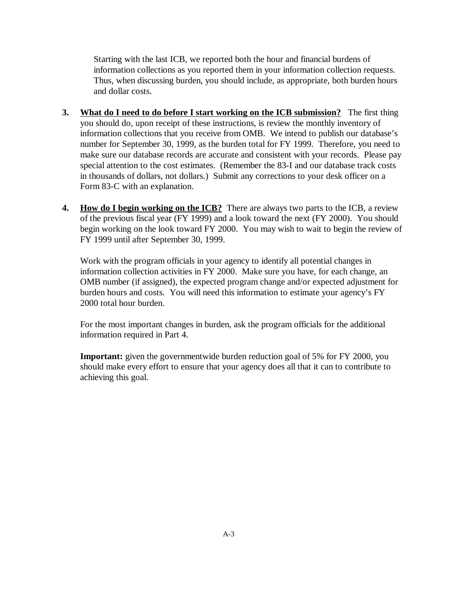Starting with the last ICB, we reported both the hour and financial burdens of information collections as you reported them in your information collection requests. Thus, when discussing burden, you should include, as appropriate, both burden hours and dollar costs.

- **3. What do I need to do before I start working on the ICB submission?** The first thing you should do, upon receipt of these instructions, is review the monthly inventory of information collections that you receive from OMB. We intend to publish our database's number for September 30, 1999, as the burden total for FY 1999. Therefore, you need to make sure our database records are accurate and consistent with your records. Please pay special attention to the cost estimates. (Remember the 83-I and our database track costs in thousands of dollars, not dollars.) Submit any corrections to your desk officer on a Form 83-C with an explanation.
- **4.** How do I begin working on the ICB? There are always two parts to the ICB, a review of the previous fiscal year (FY 1999) and a look toward the next (FY 2000). You should begin working on the look toward FY 2000. You may wish to wait to begin the review of FY 1999 until after September 30, 1999.

Work with the program officials in your agency to identify all potential changes in information collection activities in FY 2000. Make sure you have, for each change, an OMB number (if assigned), the expected program change and/or expected adjustment for burden hours and costs. You will need this information to estimate your agency's FY 2000 total hour burden.

For the most important changes in burden, ask the program officials for the additional information required in Part 4.

**Important:** given the governmentwide burden reduction goal of 5% for FY 2000, you should make every effort to ensure that your agency does all that it can to contribute to achieving this goal.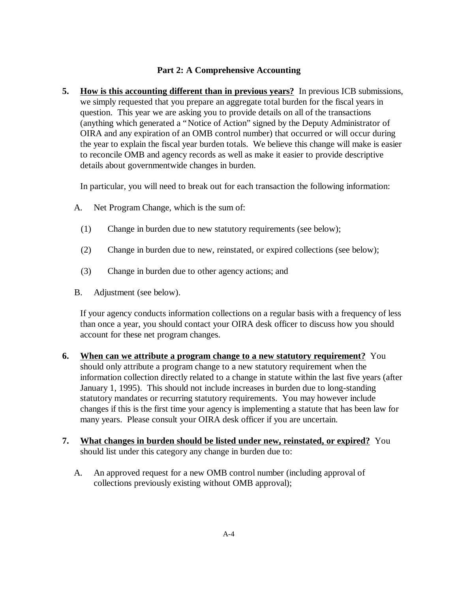# **Part 2: A Comprehensive Accounting**

**5. How is this accounting different than in previous years?** In previous ICB submissions, we simply requested that you prepare an aggregate total burden for the fiscal years in question. This year we are asking you to provide details on all of the transactions (anything which generated a "Notice of Action" signed by the Deputy Administrator of OIRA and any expiration of an OMB control number) that occurred or will occur during the year to explain the fiscal year burden totals. We believe this change will make is easier to reconcile OMB and agency records as well as make it easier to provide descriptive details about governmentwide changes in burden.

In particular, you will need to break out for each transaction the following information:

- A. Net Program Change, which is the sum of:
	- (1) Change in burden due to new statutory requirements (see below);
	- (2) Change in burden due to new, reinstated, or expired collections (see below);
	- (3) Change in burden due to other agency actions; and
- B. Adjustment (see below).

If your agency conducts information collections on a regular basis with a frequency of less than once a year, you should contact your OIRA desk officer to discuss how you should account for these net program changes.

- **6. When can we attribute a program change to a new statutory requirement?** You should only attribute a program change to a new statutory requirement when the information collection directly related to a change in statute within the last five years (after January 1, 1995). This should not include increases in burden due to long-standing statutory mandates or recurring statutory requirements. You may however include changes if this is the first time your agency is implementing a statute that has been law for many years. Please consult your OIRA desk officer if you are uncertain.
- **7. What changes in burden should be listed under new, reinstated, or expired?** You should list under this category any change in burden due to:
	- A. An approved request for a new OMB control number (including approval of collections previously existing without OMB approval);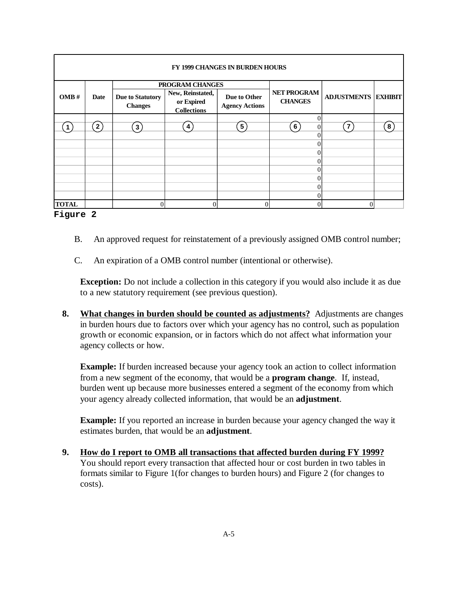| <b>FY 1999 CHANGES IN BURDEN HOURS</b> |         |                                           |                                                                         |                                       |                                  |                            |    |
|----------------------------------------|---------|-------------------------------------------|-------------------------------------------------------------------------|---------------------------------------|----------------------------------|----------------------------|----|
| OMB#                                   | Date    | <b>Due to Statutory</b><br><b>Changes</b> | PROGRAM CHANGES<br>New, Reinstated,<br>or Expired<br><b>Collections</b> | Due to Other<br><b>Agency Actions</b> | NET PROGRAM<br><b>CHANGES</b>    | <b>ADJUSTMENTS EXHIBIT</b> |    |
| $\mathbf 1$                            | $2^{7}$ | $\mathbf{3}$ )                            | 4)                                                                      | 5 <sup>2</sup>                        | 6 <sup>2</sup><br>$\overline{0}$ | $\mathbf{7}$               | 8) |
|                                        |         |                                           |                                                                         |                                       | 0<br>0<br>0                      |                            |    |
|                                        |         |                                           |                                                                         |                                       | 0                                |                            |    |
| <b>TOTAL</b>                           |         |                                           | $\Omega$                                                                | $\theta$                              |                                  | $\Omega$                   |    |

### **Figure 2**

- B. An approved request for reinstatement of a previously assigned OMB control number;
- C. An expiration of a OMB control number (intentional or otherwise).

**Exception:** Do not include a collection in this category if you would also include it as due to a new statutory requirement (see previous question).

**8. What changes in burden should be counted as adjustments?** Adjustments are changes in burden hours due to factors over which your agency has no control, such as population growth or economic expansion, or in factors which do not affect what information your agency collects or how.

**Example:** If burden increased because your agency took an action to collect information from a new segment of the economy, that would be a **program change**. If, instead, burden went up because more businesses entered a segment of the economy from which your agency already collected information, that would be an **adjustment**.

**Example:** If you reported an increase in burden because your agency changed the way it estimates burden, that would be an **adjustment**.

**9. How do I report to OMB all transactions that affected burden during FY 1999?** You should report every transaction that affected hour or cost burden in two tables in formats similar to Figure 1(for changes to burden hours) and Figure 2 (for changes to costs).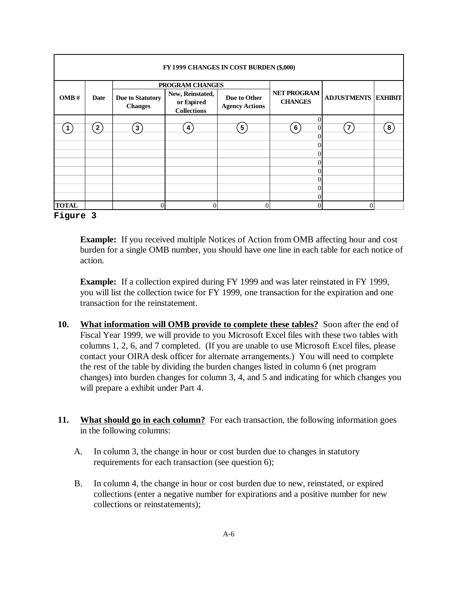| FY 1999 CHANGES IN COST BURDEN (\$,000) |               |                                    |                                                      |                                       |                                  |                            |   |
|-----------------------------------------|---------------|------------------------------------|------------------------------------------------------|---------------------------------------|----------------------------------|----------------------------|---|
| OMB#                                    | Date          | PROGRAM CHANGES                    |                                                      |                                       |                                  |                            |   |
|                                         |               | Due to Statutory<br><b>Changes</b> | New, Reinstated,<br>or Expired<br><b>Collections</b> | Due to Other<br><b>Agency Actions</b> | NET PROGRAM<br><b>CHANGES</b>    | <b>ADJUSTMENTS EXHIBIT</b> |   |
| 1                                       | $2^{\degree}$ | 3)                                 | 4)                                                   | 5)                                    | $\theta$<br>6)<br>$\overline{0}$ | $\overline{7}$             | 8 |
|                                         |               |                                    |                                                      |                                       | $\theta$<br>$\theta$             |                            |   |
|                                         |               |                                    |                                                      |                                       | $\theta$<br>$\Omega$             |                            |   |
|                                         |               |                                    |                                                      |                                       | $\Omega$                         |                            |   |
|                                         |               |                                    |                                                      |                                       | $\Omega$<br>$\Omega$             |                            |   |
|                                         |               |                                    |                                                      |                                       | $\Omega$                         |                            |   |
| <b>TOTAL</b>                            |               |                                    | $\overline{0}$                                       | $\Omega$                              | $\Omega$                         | $\Omega$                   |   |

### **Figure 3**

**Example:** If you received multiple Notices of Action from OMB affecting hour and cost burden for a single OMB number, you should have one line in each table for each notice of action.

**Example:** If a collection expired during FY 1999 and was later reinstated in FY 1999, you will list the collection twice for FY 1999, one transaction for the expiration and one transaction for the reinstatement.

- **10. What information will OMB provide to complete these tables?** Soon after the end of Fiscal Year 1999, we will provide to you Microsoft Excel files with these two tables with columns 1, 2, 6, and 7 completed. (If you are unable to use Microsoft Excel files, please contact your OIRA desk officer for alternate arrangements.) You will need to complete the rest of the table by dividing the burden changes listed in column 6 (net program changes) into burden changes for column 3, 4, and 5 and indicating for which changes you will prepare a exhibit under Part 4.
- **11. What should go in each column?** For each transaction, the following information goes in the following columns:
	- A. In column 3, the change in hour or cost burden due to changes in statutory requirements for each transaction (see question 6);
	- B. In column 4, the change in hour or cost burden due to new, reinstated, or expired collections (enter a negative number for expirations and a positive number for new collections or reinstatements);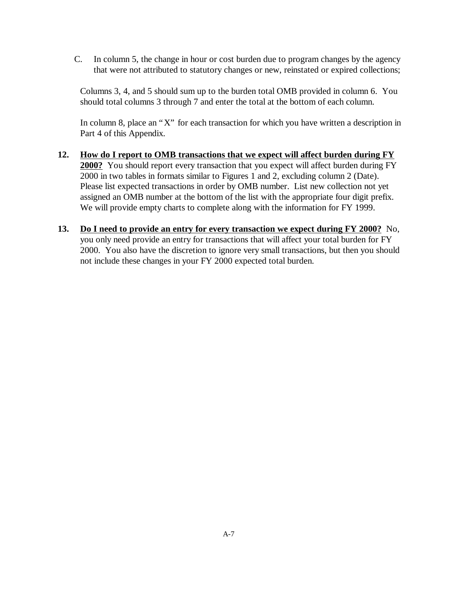C. In column 5, the change in hour or cost burden due to program changes by the agency that were not attributed to statutory changes or new, reinstated or expired collections;

Columns 3, 4, and 5 should sum up to the burden total OMB provided in column 6. You should total columns 3 through 7 and enter the total at the bottom of each column.

In column 8, place an "X" for each transaction for which you have written a description in Part 4 of this Appendix.

- **12. How do I report to OMB transactions that we expect will affect burden during FY 2000?** You should report every transaction that you expect will affect burden during FY 2000 in two tables in formats similar to Figures 1 and 2, excluding column 2 (Date). Please list expected transactions in order by OMB number. List new collection not yet assigned an OMB number at the bottom of the list with the appropriate four digit prefix. We will provide empty charts to complete along with the information for FY 1999.
- **13. Do I need to provide an entry for every transaction we expect during FY 2000?** No, you only need provide an entry for transactions that will affect your total burden for FY 2000. You also have the discretion to ignore very small transactions, but then you should not include these changes in your FY 2000 expected total burden.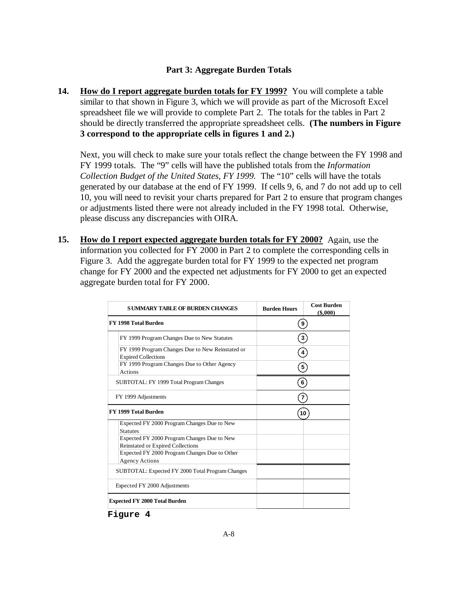## **Part 3: Aggregate Burden Totals**

**14. How do I report aggregate burden totals for FY 1999?** You will complete a table similar to that shown in Figure 3, which we will provide as part of the Microsoft Excel spreadsheet file we will provide to complete Part 2. The totals for the tables in Part 2 should be directly transferred the appropriate spreadsheet cells. **(The numbers in Figure 3 correspond to the appropriate cells in figures 1 and 2.)**

Next, you will check to make sure your totals reflect the change between the FY 1998 and FY 1999 totals. The "9" cells will have the published totals from the *Information Collection Budget of the United States, FY 1999.* The "10" cells will have the totals generated by our database at the end of FY 1999. If cells 9, 6, and 7 do not add up to cell 10, you will need to revisit your charts prepared for Part 2 to ensure that program changes or adjustments listed there were not already included in the FY 1998 total. Otherwise, please discuss any discrepancies with OIRA.

**15. How do I report expected aggregate burden totals for FY 2000?** Again, use the information you collected for FY 2000 in Part 2 to complete the corresponding cells in Figure 3. Add the aggregate burden total for FY 1999 to the expected net program change for FY 2000 and the expected net adjustments for FY 2000 to get an expected aggregate burden total for FY 2000.

| <b>SUMMARY TABLE OF BURDEN CHANGES</b>                                           | <b>Burden Hours</b>     | <b>Cost Burden</b><br>$($ \$.000 $)$ |  |  |
|----------------------------------------------------------------------------------|-------------------------|--------------------------------------|--|--|
| FY 1998 Total Burden                                                             | 9                       |                                      |  |  |
| FY 1999 Program Changes Due to New Statutes                                      | 3                       |                                      |  |  |
| FY 1999 Program Changes Due to New Reinstated or<br><b>Expired Collections</b>   | $\overline{\mathbf{4}}$ |                                      |  |  |
| FY 1999 Program Changes Due to Other Agency<br><b>Actions</b>                    | 5                       |                                      |  |  |
| SUBTOTAL: FY 1999 Total Program Changes                                          | 6                       |                                      |  |  |
| FY 1999 Adjustments                                                              | $\overline{7}$          |                                      |  |  |
| FY 1999 Total Burden                                                             | 10                      |                                      |  |  |
| Expected FY 2000 Program Changes Due to New<br><b>Statutes</b>                   |                         |                                      |  |  |
| Expected FY 2000 Program Changes Due to New<br>Reinstated or Expired Collections |                         |                                      |  |  |
| Expected FY 2000 Program Changes Due to Other<br><b>Agency Actions</b>           |                         |                                      |  |  |
| SUBTOTAL: Expected FY 2000 Total Program Changes                                 |                         |                                      |  |  |
| Expected FY 2000 Adjustments                                                     |                         |                                      |  |  |
| <b>Expected FY 2000 Total Burden</b>                                             |                         |                                      |  |  |

**Figure 4**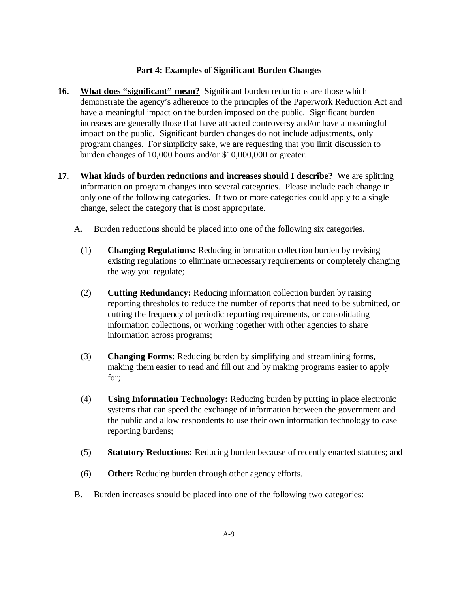## **Part 4: Examples of Significant Burden Changes**

- **16. What does "significant" mean?** Significant burden reductions are those which demonstrate the agency's adherence to the principles of the Paperwork Reduction Act and have a meaningful impact on the burden imposed on the public. Significant burden increases are generally those that have attracted controversy and/or have a meaningful impact on the public. Significant burden changes do not include adjustments, only program changes. For simplicity sake, we are requesting that you limit discussion to burden changes of 10,000 hours and/or \$10,000,000 or greater.
- **17. What kinds of burden reductions and increases should I describe?** We are splitting information on program changes into several categories. Please include each change in only one of the following categories. If two or more categories could apply to a single change, select the category that is most appropriate.
	- A. Burden reductions should be placed into one of the following six categories.
		- (1) **Changing Regulations:** Reducing information collection burden by revising existing regulations to eliminate unnecessary requirements or completely changing the way you regulate;
		- (2) **Cutting Redundancy:** Reducing information collection burden by raising reporting thresholds to reduce the number of reports that need to be submitted, or cutting the frequency of periodic reporting requirements, or consolidating information collections, or working together with other agencies to share information across programs;
		- (3) **Changing Forms:** Reducing burden by simplifying and streamlining forms, making them easier to read and fill out and by making programs easier to apply for;
		- (4) **Using Information Technology:** Reducing burden by putting in place electronic systems that can speed the exchange of information between the government and the public and allow respondents to use their own information technology to ease reporting burdens;
		- (5) **Statutory Reductions:** Reducing burden because of recently enacted statutes; and
		- (6) **Other:** Reducing burden through other agency efforts.
	- B. Burden increases should be placed into one of the following two categories: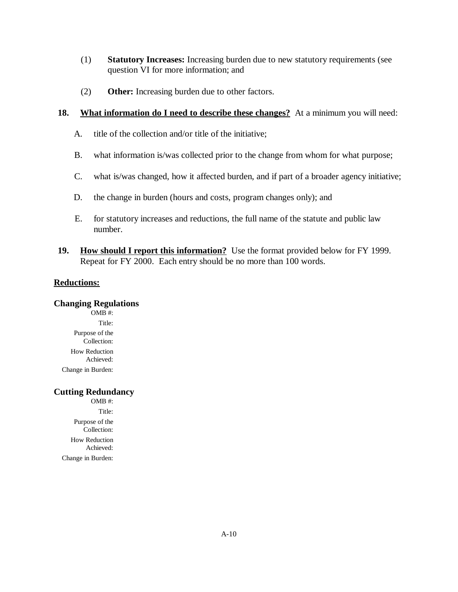- (1) **Statutory Increases:** Increasing burden due to new statutory requirements (see question VI for more information; and
- (2) **Other:** Increasing burden due to other factors.

### **18. What information do I need to describe these changes?** At a minimum you will need:

- A. title of the collection and/or title of the initiative;
- B. what information is/was collected prior to the change from whom for what purpose;
- C. what is/was changed, how it affected burden, and if part of a broader agency initiative;
- D. the change in burden (hours and costs, program changes only); and
- E. for statutory increases and reductions, the full name of the statute and public law number.
- **19. How should I report this information?** Use the format provided below for FY 1999. Repeat for FY 2000. Each entry should be no more than 100 words.

### **Reductions:**

#### **Changing Regulations**

OMB #: Title: Purpose of the Collection: How Reduction Achieved: Change in Burden:

### **Cutting Redundancy**

OMB #: Title: Purpose of the Collection: How Reduction Achieved: Change in Burden: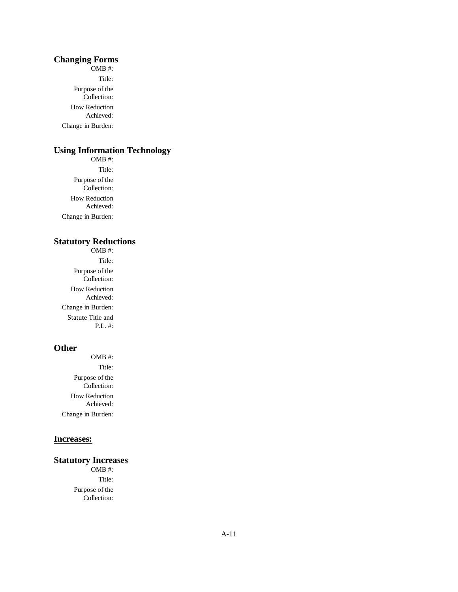#### **Changing Forms**

OMB #: Title: Purpose of the Collection: How Reduction Achieved: Change in Burden:

### **Using Information Technology**

OMB #: Title: Purpose of the Collection: How Reduction Achieved: Change in Burden:

#### **Statutory Reductions**

OMB #: Title: Purpose of the Collection: How Reduction Achieved: Change in Burden: Statute Title and P.L. #:

#### **Other**

OMB #: Title: Purpose of the Collection: How Reduction Achieved: Change in Burden:

### **Increases:**

#### **Statutory Increases**

OMB #: Title: Purpose of the Collection: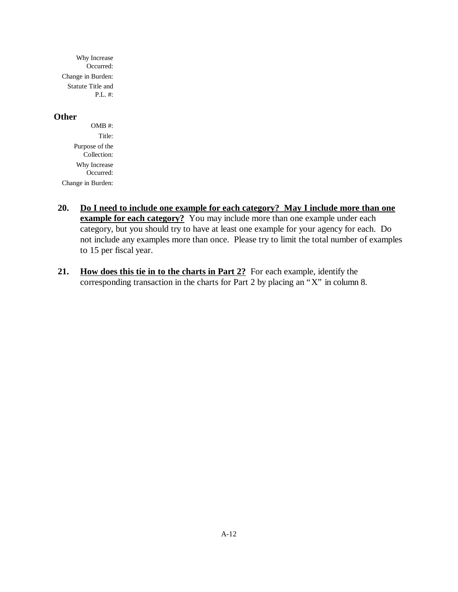Why Increase Occurred: Change in Burden: Statute Title and P.L. #:

#### **Other**

OMB #: Title: Purpose of the Collection: Why Increase Occurred: Change in Burden:

- **20. Do I need to include one example for each category? May I include more than one example for each category?** You may include more than one example under each category, but you should try to have at least one example for your agency for each. Do not include any examples more than once. Please try to limit the total number of examples to 15 per fiscal year.
- **21. How does this tie in to the charts in Part 2?** For each example, identify the corresponding transaction in the charts for Part 2 by placing an "X" in column 8.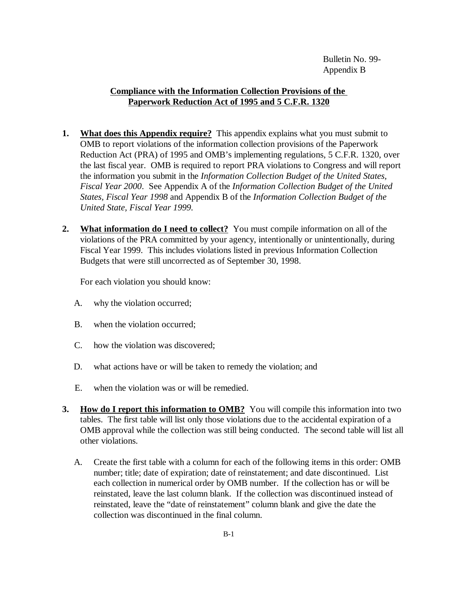# **Compliance with the Information Collection Provisions of the Paperwork Reduction Act of 1995 and 5 C.F.R. 1320**

- **1. What does this Appendix require?** This appendix explains what you must submit to OMB to report violations of the information collection provisions of the Paperwork Reduction Act (PRA) of 1995 and OMB's implementing regulations, 5 C.F.R. 1320, over the last fiscal year. OMB is required to report PRA violations to Congress and will report the information you submit in the *Information Collection Budget of the United States, Fiscal Year 2000*. See Appendix A of the *Information Collection Budget of the United States, Fiscal Year 1998* and Appendix B of the *Information Collection Budget of the United State, Fiscal Year 1999.*
- **2. What information do I need to collect?** You must compile information on all of the violations of the PRA committed by your agency, intentionally or unintentionally, during Fiscal Year 1999. This includes violations listed in previous Information Collection Budgets that were still uncorrected as of September 30, 1998.

For each violation you should know:

- A. why the violation occurred;
- B. when the violation occurred;
- C. how the violation was discovered;
- D. what actions have or will be taken to remedy the violation; and
- E. when the violation was or will be remedied.
- **3.** How do I report this information to OMB? You will compile this information into two tables. The first table will list only those violations due to the accidental expiration of a OMB approval while the collection was still being conducted. The second table will list all other violations.
	- A. Create the first table with a column for each of the following items in this order: OMB number; title; date of expiration; date of reinstatement; and date discontinued. List each collection in numerical order by OMB number. If the collection has or will be reinstated, leave the last column blank. If the collection was discontinued instead of reinstated, leave the "date of reinstatement" column blank and give the date the collection was discontinued in the final column.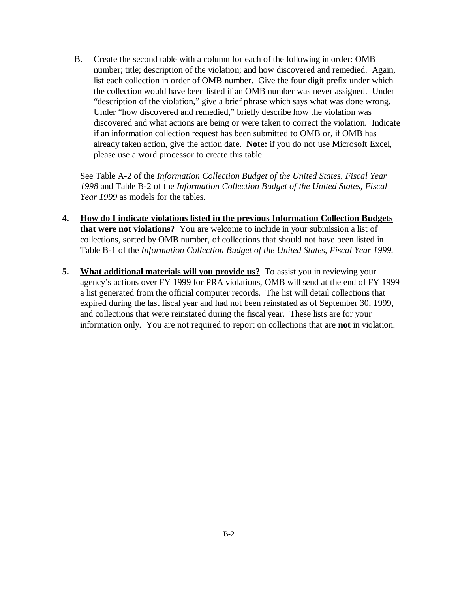B. Create the second table with a column for each of the following in order: OMB number; title; description of the violation; and how discovered and remedied. Again, list each collection in order of OMB number. Give the four digit prefix under which the collection would have been listed if an OMB number was never assigned. Under "description of the violation," give a brief phrase which says what was done wrong. Under "how discovered and remedied," briefly describe how the violation was discovered and what actions are being or were taken to correct the violation. Indicate if an information collection request has been submitted to OMB or, if OMB has already taken action, give the action date. **Note:** if you do not use Microsoft Excel, please use a word processor to create this table.

See Table A-2 of the *Information Collection Budget of the United States, Fiscal Year 1998* and Table B-2 of the *Information Collection Budget of the United States, Fiscal Year 1999* as models for the tables.

- **4. How do I indicate violations listed in the previous Information Collection Budgets that were not violations?** You are welcome to include in your submission a list of collections, sorted by OMB number, of collections that should not have been listed in Table B-1 of the *Information Collection Budget of the United States, Fiscal Year 1999.*
- **5. What additional materials will you provide us?** To assist you in reviewing your agency's actions over FY 1999 for PRA violations, OMB will send at the end of FY 1999 a list generated from the official computer records. The list will detail collections that expired during the last fiscal year and had not been reinstated as of September 30, 1999, and collections that were reinstated during the fiscal year. These lists are for your information only. You are not required to report on collections that are **not** in violation.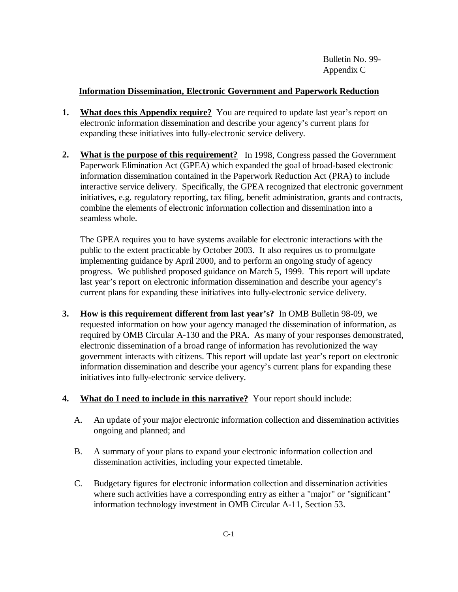Bulletin No. 99- Appendix C

# **Information Dissemination, Electronic Government and Paperwork Reduction**

- **1.** What does this Appendix require? You are required to update last year's report on electronic information dissemination and describe your agency's current plans for expanding these initiatives into fully-electronic service delivery.
- **2. What is the purpose of this requirement?** In 1998, Congress passed the Government Paperwork Elimination Act (GPEA) which expanded the goal of broad-based electronic information dissemination contained in the Paperwork Reduction Act (PRA) to include interactive service delivery. Specifically, the GPEA recognized that electronic government initiatives, e.g. regulatory reporting, tax filing, benefit administration, grants and contracts, combine the elements of electronic information collection and dissemination into a seamless whole.

The GPEA requires you to have systems available for electronic interactions with the public to the extent practicable by October 2003. It also requires us to promulgate implementing guidance by April 2000, and to perform an ongoing study of agency progress. We published proposed guidance on March 5, 1999. This report will update last year's report on electronic information dissemination and describe your agency's current plans for expanding these initiatives into fully-electronic service delivery.

- **3. How is this requirement different from last year's?** In OMB Bulletin 98-09, we requested information on how your agency managed the dissemination of information, as required by OMB Circular A-130 and the PRA. As many of your responses demonstrated, electronic dissemination of a broad range of information has revolutionized the way government interacts with citizens. This report will update last year's report on electronic information dissemination and describe your agency's current plans for expanding these initiatives into fully-electronic service delivery.
- **4. What do I need to include in this narrative?** Your report should include:
	- A. An update of your major electronic information collection and dissemination activities ongoing and planned; and
	- B. A summary of your plans to expand your electronic information collection and dissemination activities, including your expected timetable.
	- C. Budgetary figures for electronic information collection and dissemination activities where such activities have a corresponding entry as either a "major" or "significant" information technology investment in OMB Circular A-11, Section 53.